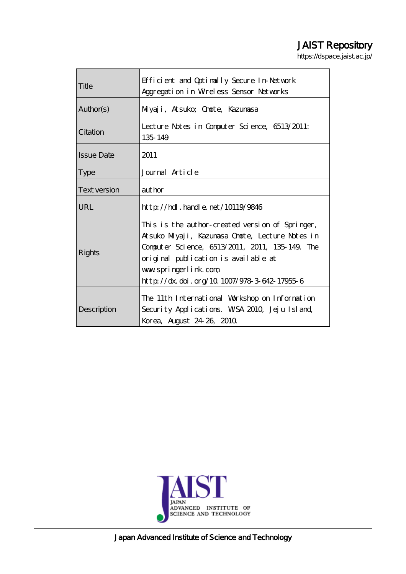# JAIST Repository

https://dspace.jaist.ac.jp/

| Title               | Efficient and Optimally Secure In-Network<br>Aggregation in Wreless Sensor Networks                                                                                                                                                                                  |  |  |  |
|---------------------|----------------------------------------------------------------------------------------------------------------------------------------------------------------------------------------------------------------------------------------------------------------------|--|--|--|
| Author(s)           | Miyaji, Atsuko; Onote, Kazunasa                                                                                                                                                                                                                                      |  |  |  |
| Citation            | Lecture Notes in Computer Science, 6513/2011:<br>135 149                                                                                                                                                                                                             |  |  |  |
| <b>Issue Date</b>   | 2011                                                                                                                                                                                                                                                                 |  |  |  |
| <b>Type</b>         | Journal Article                                                                                                                                                                                                                                                      |  |  |  |
| <b>Text version</b> | author                                                                                                                                                                                                                                                               |  |  |  |
| URL                 | http://hdl.handle.net/10119/9846                                                                                                                                                                                                                                     |  |  |  |
| Rights              | This is the author-created version of Springer,<br>Atsuko Miyaji, Kazumasa Onote, Lecture Notes in<br>Computer Science, 6513/2011, 2011, 135-149. The<br>original publication is available at<br>www.springerlink.com<br>http://dx.doi.org/10.1007/978-3-642-17955-6 |  |  |  |
| Description         | The 11th International Workshop on Information<br>Security Applications. WSA 2010, Jeju Island,<br>Korea, August 24 26, 2010.                                                                                                                                        |  |  |  |



Japan Advanced Institute of Science and Technology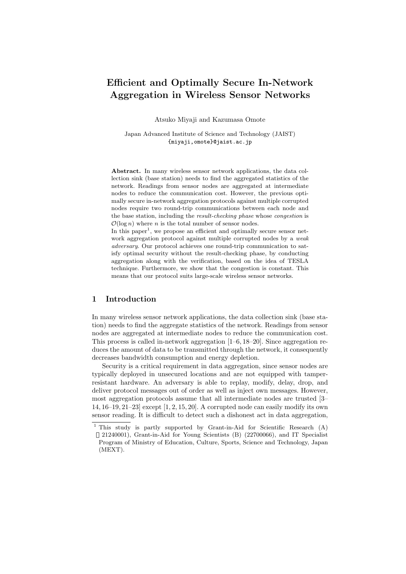# **Efficient and Optimally Secure In-Network Aggregation in Wireless Sensor Networks**

Atsuko Miyaji and Kazumasa Omote

Japan Advanced Institute of Science and Technology (JAIST) {miyaji,omote}@jaist.ac.jp

**Abstract.** In many wireless sensor network applications, the data collection sink (base station) needs to find the aggregated statistics of the network. Readings from sensor nodes are aggregated at intermediate nodes to reduce the communication cost. However, the previous optimally secure in-network aggregation protocols against multiple corrupted nodes require two round-trip communications between each node and the base station, including the *result-checking phase* whose *congestion* is  $\mathcal{O}(\log n)$  where *n* is the total number of sensor nodes.

In this paper<sup>1</sup>, we propose an efficient and optimally secure sensor network aggregation protocol against multiple corrupted nodes by a *weak adversary*. Our protocol achieves one round-trip communication to satisfy optimal security without the result-checking phase, by conducting aggregation along with the verification, based on the idea of TESLA technique. Furthermore, we show that the congestion is constant. This means that our protocol suits large-scale wireless sensor networks.

### **1 Introduction**

In many wireless sensor network applications, the data collection sink (base station) needs to find the aggregate statistics of the network. Readings from sensor nodes are aggregated at intermediate nodes to reduce the communication cost. This process is called in-network aggregation [1–6, 18–20]. Since aggregation reduces the amount of data to be transmitted through the network, it consequently decreases bandwidth consumption and energy depletion.

Security is a critical requirement in data aggregation, since sensor nodes are typically deployed in unsecured locations and are not equipped with tamperresistant hardware. An adversary is able to replay, modify, delay, drop, and deliver protocol messages out of order as well as inject own messages. However, most aggregation protocols assume that all intermediate nodes are trusted [3– 14, 16–19, 21–23] except [1, 2, 15, 20]. A corrupted node can easily modify its own sensor reading. It is difficult to detect such a dishonest act in data aggregation,

<sup>&</sup>lt;sup>1</sup> This study is partly supported by Grant-in-Aid for Scientific Research  $(A)$ 21240001), Grant-in-Aid for Young Scientists (B) (22700066), and IT Specialist Program of Ministry of Education, Culture, Sports, Science and Technology, Japan (MEXT).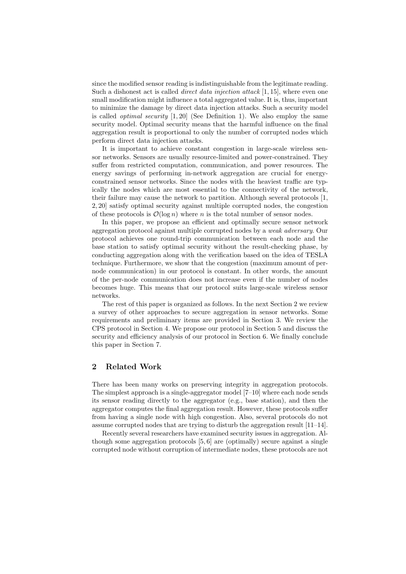since the modified sensor reading is indistinguishable from the legitimate reading. Such a dishonest act is called *direct data injection attack* [1, 15], where even one small modification might influence a total aggregated value. It is, thus, important to minimize the damage by direct data injection attacks. Such a security model is called *optimal security* [1, 20] (See Definition 1). We also employ the same security model. Optimal security means that the harmful influence on the final aggregation result is proportional to only the number of corrupted nodes which perform direct data injection attacks.

It is important to achieve constant congestion in large-scale wireless sensor networks. Sensors are usually resource-limited and power-constrained. They suffer from restricted computation, communication, and power resources. The energy savings of performing in-network aggregation are crucial for energyconstrained sensor networks. Since the nodes with the heaviest traffic are typically the nodes which are most essential to the connectivity of the network, their failure may cause the network to partition. Although several protocols [1, 2, 20] satisfy optimal security against multiple corrupted nodes, the congestion of these protocols is  $\mathcal{O}(\log n)$  where *n* is the total number of sensor nodes.

In this paper, we propose an efficient and optimally secure sensor network aggregation protocol against multiple corrupted nodes by a *weak adversary*. Our protocol achieves one round-trip communication between each node and the base station to satisfy optimal security without the result-checking phase, by conducting aggregation along with the verification based on the idea of TESLA technique. Furthermore, we show that the congestion (maximum amount of pernode communication) in our protocol is constant. In other words, the amount of the per-node communication does not increase even if the number of nodes becomes huge. This means that our protocol suits large-scale wireless sensor networks.

The rest of this paper is organized as follows. In the next Section 2 we review a survey of other approaches to secure aggregation in sensor networks. Some requirements and preliminary items are provided in Section 3. We review the CPS protocol in Section 4. We propose our protocol in Section 5 and discuss the security and efficiency analysis of our protocol in Section 6. We finally conclude this paper in Section 7.

# **2 Related Work**

There has been many works on preserving integrity in aggregation protocols. The simplest approach is a single-aggregator model [7–10] where each node sends its sensor reading directly to the aggregator (e.g., base station), and then the aggregator computes the final aggregation result. However, these protocols suffer from having a single node with high congestion. Also, several protocols do not assume corrupted nodes that are trying to disturb the aggregation result [11–14].

Recently several researchers have examined security issues in aggregation. Although some aggregation protocols  $[5, 6]$  are (optimally) secure against a single corrupted node without corruption of intermediate nodes, these protocols are not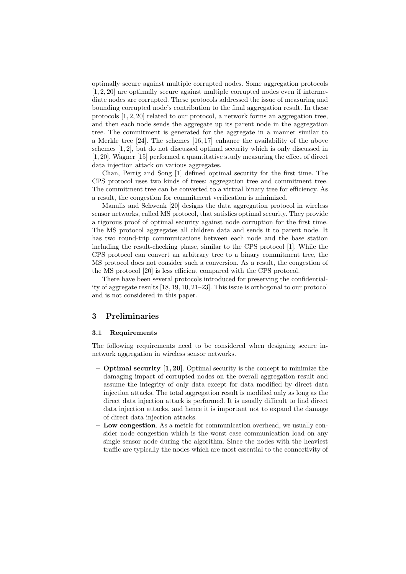optimally secure against multiple corrupted nodes. Some aggregation protocols [1, 2, 20] are optimally secure against multiple corrupted nodes even if intermediate nodes are corrupted. These protocols addressed the issue of measuring and bounding corrupted node's contribution to the final aggregation result. In these protocols [1, 2, 20] related to our protocol, a network forms an aggregation tree, and then each node sends the aggregate up its parent node in the aggregation tree. The commitment is generated for the aggregate in a manner similar to a Merkle tree [24]. The schemes [16, 17] enhance the availability of the above schemes [1, 2], but do not discussed optimal security which is only discussed in [1, 20]. Wagner [15] performed a quantitative study measuring the effect of direct data injection attack on various aggregates.

Chan, Perrig and Song [1] defined optimal security for the first time. The CPS protocol uses two kinds of trees: aggregation tree and commitment tree. The commitment tree can be converted to a virtual binary tree for efficiency. As a result, the congestion for commitment verification is minimized.

Manulis and Schwenk [20] designs the data aggregation protocol in wireless sensor networks, called MS protocol, that satisfies optimal security. They provide a rigorous proof of optimal security against node corruption for the first time. The MS protocol aggregates all children data and sends it to parent node. It has two round-trip communications between each node and the base station including the result-checking phase, similar to the CPS protocol [1]. While the CPS protocol can convert an arbitrary tree to a binary commitment tree, the MS protocol does not consider such a conversion. As a result, the congestion of the MS protocol [20] is less efficient compared with the CPS protocol.

There have been several protocols introduced for preserving the confidentiality of aggregate results [18, 19, 10, 21–23]. This issue is orthogonal to our protocol and is not considered in this paper.

# **3 Preliminaries**

#### **3.1 Requirements**

The following requirements need to be considered when designing secure innetwork aggregation in wireless sensor networks.

- **Optimal security [1, 20]**. Optimal security is the concept to minimize the damaging impact of corrupted nodes on the overall aggregation result and assume the integrity of only data except for data modified by direct data injection attacks. The total aggregation result is modified only as long as the direct data injection attack is performed. It is usually difficult to find direct data injection attacks, and hence it is important not to expand the damage of direct data injection attacks.
- **Low congestion**. As a metric for communication overhead, we usually consider node congestion which is the worst case communication load on any single sensor node during the algorithm. Since the nodes with the heaviest traffic are typically the nodes which are most essential to the connectivity of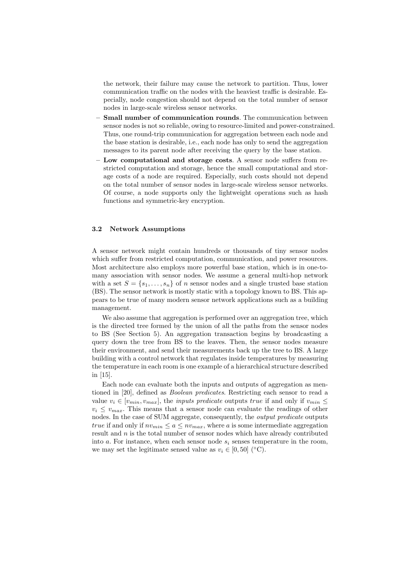the network, their failure may cause the network to partition. Thus, lower communication traffic on the nodes with the heaviest traffic is desirable. Especially, node congestion should not depend on the total number of sensor nodes in large-scale wireless sensor networks.

- **Small number of communication rounds**. The communication between sensor nodes is not so reliable, owing to resource-limited and power-constrained. Thus, one round-trip communication for aggregation between each node and the base station is desirable, i.e., each node has only to send the aggregation messages to its parent node after receiving the query by the base station.
- **Low computational and storage costs**. A sensor node suffers from restricted computation and storage, hence the small computational and storage costs of a node are required. Especially, such costs should not depend on the total number of sensor nodes in large-scale wireless sensor networks. Of course, a node supports only the lightweight operations such as hash functions and symmetric-key encryption.

#### **3.2 Network Assumptions**

A sensor network might contain hundreds or thousands of tiny sensor nodes which suffer from restricted computation, communication, and power resources. Most architecture also employs more powerful base station, which is in one-tomany association with sensor nodes. We assume a general multi-hop network with a set  $S = \{s_1, \ldots, s_n\}$  of *n* sensor nodes and a single trusted base station (BS). The sensor network is mostly static with a topology known to BS. This appears to be true of many modern sensor network applications such as a building management.

We also assume that aggregation is performed over an aggregation tree, which is the directed tree formed by the union of all the paths from the sensor nodes to BS (See Section 5). An aggregation transaction begins by broadcasting a query down the tree from BS to the leaves. Then, the sensor nodes measure their environment, and send their measurements back up the tree to BS. A large building with a control network that regulates inside temperatures by measuring the temperature in each room is one example of a hierarchical structure described in [15].

Each node can evaluate both the inputs and outputs of aggregation as mentioned in [20], defined as *Boolean predicates*. Restricting each sensor to read a value  $v_i \in [v_{min}, v_{max}]$ , the *inputs predicate* outputs *true* if and only if  $v_{min} \leq$  $v_i \leq v_{max}$ . This means that a sensor node can evaluate the readings of other nodes. In the case of SUM aggregate, consequently, the *output predicate* outputs *true* if and only if  $nv_{min} \le a \le nv_{max}$ , where *a* is some intermediate aggregation result and *n* is the total number of sensor nodes which have already contributed into *a*. For instance, when each sensor node *s<sup>i</sup>* senses temperature in the room, we may set the legitimate sensed value as  $v_i \in [0, 50]$  ( $\degree$ C).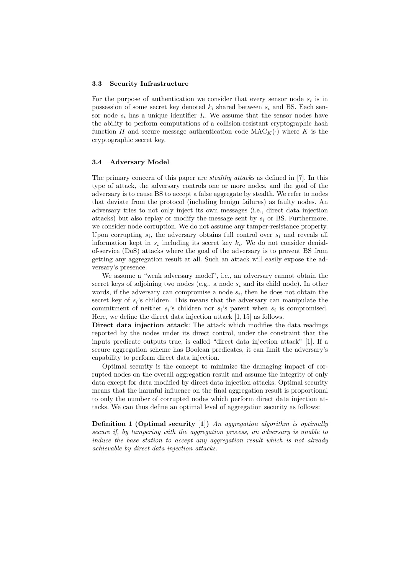#### **3.3 Security Infrastructure**

For the purpose of authentication we consider that every sensor node  $s_i$  is in possession of some secret key denoted *k<sup>i</sup>* shared between *s<sup>i</sup>* and BS. Each sensor node  $s_i$  has a unique identifier  $I_i$ . We assume that the sensor nodes have the ability to perform computations of a collision-resistant cryptographic hash function *H* and secure message authentication code  $MAC_K(\cdot)$  where *K* is the cryptographic secret key.

#### **3.4 Adversary Model**

The primary concern of this paper are *stealthy attacks* as defined in [7]. In this type of attack, the adversary controls one or more nodes, and the goal of the adversary is to cause BS to accept a false aggregate by stealth. We refer to nodes that deviate from the protocol (including benign failures) as faulty nodes. An adversary tries to not only inject its own messages (i.e., direct data injection attacks) but also replay or modify the message sent by  $s_i$  or BS. Furthermore, we consider node corruption. We do not assume any tamper-resistance property. Upon corrupting  $s_i$ , the adversary obtains full control over  $s_i$  and reveals all information kept in  $s_i$  including its secret key  $k_i$ . We do not consider denialof-service (DoS) attacks where the goal of the adversary is to prevent BS from getting any aggregation result at all. Such an attack will easily expose the adversary's presence.

We assume a "weak adversary model", i.e., an adversary cannot obtain the secret keys of adjoining two nodes (e.g., a node *s<sup>i</sup>* and its child node). In other words, if the adversary can compromise a node  $s_i$ , then he does not obtain the secret key of  $s_i$ 's children. This means that the adversary can manipulate the commitment of neither  $s_i$ 's children nor  $s_i$ 's parent when  $s_i$  is compromised. Here, we define the direct data injection attack [1, 15] as follows.

**Direct data injection attack**: The attack which modifies the data readings reported by the nodes under its direct control, under the constraint that the inputs predicate outputs true, is called "direct data injection attack" [1]. If a secure aggregation scheme has Boolean predicates, it can limit the adversary's capability to perform direct data injection.

Optimal security is the concept to minimize the damaging impact of corrupted nodes on the overall aggregation result and assume the integrity of only data except for data modified by direct data injection attacks. Optimal security means that the harmful influence on the final aggregation result is proportional to only the number of corrupted nodes which perform direct data injection attacks. We can thus define an optimal level of aggregation security as follows:

**Definition 1 (Optimal security [1])** *An aggregation algorithm is optimally secure if, by tampering with the aggregation process, an adversary is unable to induce the base station to accept any aggregation result which is not already achievable by direct data injection attacks.*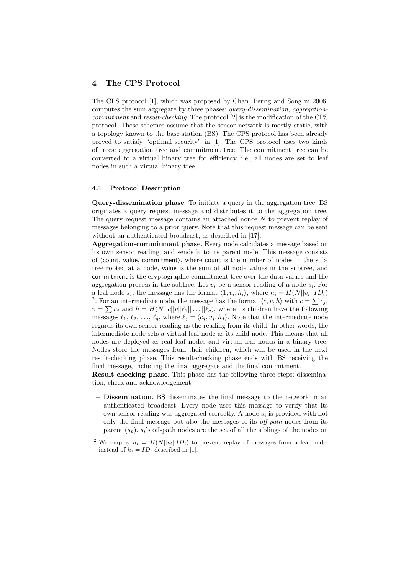# **4 The CPS Protocol**

The CPS protocol [1], which was proposed by Chan, Perrig and Song in 2006, computes the sum aggregate by three phases: *query-dissemination*, *aggregationcommitment* and *result-checking*. The protocol [2] is the modification of the CPS protocol. These schemes assume that the sensor network is mostly static, with a topology known to the base station (BS). The CPS protocol has been already proved to satisfy "optimal security" in [1]. The CPS protocol uses two kinds of trees: aggregation tree and commitment tree. The commitment tree can be converted to a virtual binary tree for efficiency, i.e., all nodes are set to leaf nodes in such a virtual binary tree.

#### **4.1 Protocol Description**

**Query-dissemination phase**. To initiate a query in the aggregation tree, BS originates a query request message and distributes it to the aggregation tree. The query request message contains an attached nonce *N* to prevent replay of messages belonging to a prior query. Note that this request message can be sent without an authenticated broadcast, as described in [17].

**Aggregation-commitment phase**. Every node calculates a message based on its own sensor reading, and sends it to its parent node. This message consists of *⟨*count, value, commitment*⟩*, where count is the number of nodes in the subtree rooted at a node, value is the sum of all node values in the subtree, and commitment is the cryptographic commitment tree over the data values and the aggregation process in the subtree. Let *v<sup>i</sup>* be a sensor reading of a node *s<sup>i</sup>* . For a leaf node  $s_i$ , the message has the format  $\langle 1, v_i, h_i \rangle$ , where  $h_i = H(N||v_i||ID_i)$ <sup>2</sup>. For an intermediate node, the message has the format  $\langle c, v, h \rangle$  with  $c = \sum c_j$ ,  $v = \sum v_j$  and  $h = H(N||c||v||\ell_1|| \dots ||\ell_q)$ , where its children have the following messages  $\ell_1, \ell_2, \ldots, \ell_q$ , where  $\ell_j = \langle c_j, v_j, h_j \rangle$ . Note that the intermediate node regards its own sensor reading as the reading from its child. In other words, the intermediate node sets a virtual leaf node as its child node. This means that all nodes are deployed as real leaf nodes and virtual leaf nodes in a binary tree. Nodes store the messages from their children, which will be used in the next result-checking phase. This result-checking phase ends with BS receiving the final message, including the final aggregate and the final commitment.

**Result-checking phase**. This phase has the following three steps: dissemination, check and acknowledgement.

**– Dissemination**. BS disseminates the final message to the network in an authenticated broadcast. Every node uses this message to verify that its own sensor reading was aggregated correctly. A node *s<sup>i</sup>* is provided with not only the final message but also the messages of its *off-path* nodes from its parent  $(s_p)$ .  $s_i$ 's off-path nodes are the set of all the siblings of the nodes on

We employ  $h_i = H(N||v_i||ID_i)$  to prevent replay of messages from a leaf node, instead of  $h_i = ID_i$  described in [1].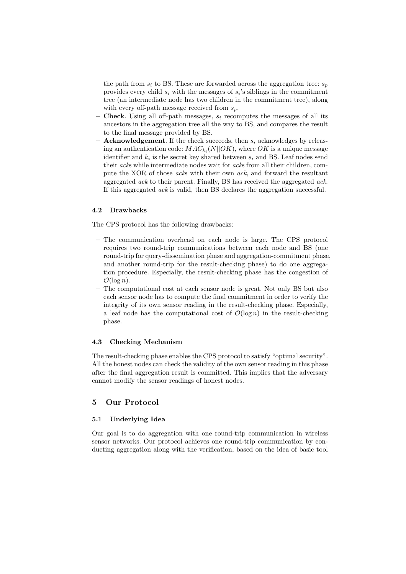the path from  $s_i$  to BS. These are forwarded across the aggregation tree:  $s_p$ provides every child *s<sup>i</sup>* with the messages of *s<sup>i</sup>* 's siblings in the commitment tree (an intermediate node has two children in the commitment tree), along with every off-path message received from *sp*.

- **Check**. Using all off-path messages, *s<sup>i</sup>* recomputes the messages of all its ancestors in the aggregation tree all the way to BS, and compares the result to the final message provided by BS.
- **Acknowledgement**. If the check succeeds, then *s<sup>i</sup>* acknowledges by releasing an authentication code:  $MAC_{k_i}(N||OK)$ , where  $OK$  is a unique message identifier and *k<sup>i</sup>* is the secret key shared between *s<sup>i</sup>* and BS. Leaf nodes send their *ack*s while intermediate nodes wait for *ack*s from all their children, compute the XOR of those *ack*s with their own *ack*, and forward the resultant aggregated *ack* to their parent. Finally, BS has received the aggregated *ack*. If this aggregated *ack* is valid, then BS declares the aggregation successful.

#### **4.2 Drawbacks**

The CPS protocol has the following drawbacks:

- **–** The communication overhead on each node is large. The CPS protocol requires two round-trip communications between each node and BS (one round-trip for query-dissemination phase and aggregation-commitment phase, and another round-trip for the result-checking phase) to do one aggregation procedure. Especially, the result-checking phase has the congestion of  $\mathcal{O}(\log n)$ .
- **–** The computational cost at each sensor node is great. Not only BS but also each sensor node has to compute the final commitment in order to verify the integrity of its own sensor reading in the result-checking phase. Especially, a leaf node has the computational cost of  $\mathcal{O}(\log n)$  in the result-checking phase.

#### **4.3 Checking Mechanism**

The result-checking phase enables the CPS protocol to satisfy "optimal security". All the honest nodes can check the validity of the own sensor reading in this phase after the final aggregation result is committed. This implies that the adversary cannot modify the sensor readings of honest nodes.

# **5 Our Protocol**

#### **5.1 Underlying Idea**

Our goal is to do aggregation with one round-trip communication in wireless sensor networks. Our protocol achieves one round-trip communication by conducting aggregation along with the verification, based on the idea of basic tool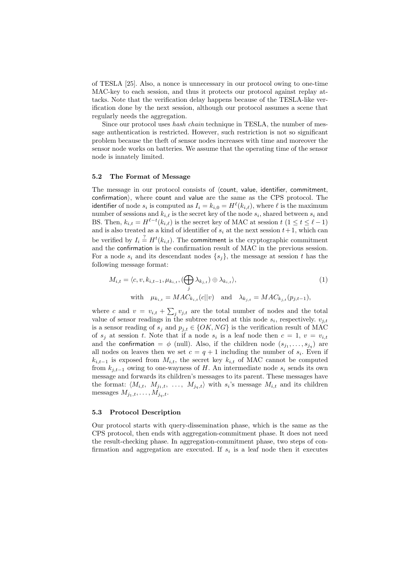of TESLA [25]. Also, a nonce is unnecessary in our protocol owing to one-time MAC-key to each session, and thus it protects our protocol against replay attacks. Note that the verification delay happens because of the TESLA-like verification done by the next session, although our protocol assumes a scene that regularly needs the aggregation.

Since our protocol uses *hash chain* technique in TESLA, the number of message authentication is restricted. However, such restriction is not so significant problem because the theft of sensor nodes increases with time and moreover the sensor node works on batteries. We assume that the operating time of the sensor node is innately limited.

#### **5.2 The Format of Message**

The message in our protocol consists of *⟨*count, value, identifier, commitment, confirmation*⟩*, where count and value are the same as the CPS protocol. The identifier of node  $s_i$  is computed as  $I_i = k_{i,0} = H^{\ell}(k_{i,\ell})$ , where  $\ell$  is the maximum number of sessions and *ki,ℓ* is the secret key of the node *s<sup>i</sup>* , shared between *s<sup>i</sup>* and BS. Then,  $k_{i,t} = H^{\ell-t}(k_{i,\ell})$  is the secret key of MAC at session  $t$   $(1 \leq t \leq \ell - 1)$ and is also treated as a kind of identifier of  $s_i$  at the next session  $t+1$ , which can be verified by  $I_i \stackrel{?}{=} H^t(k_{i,t})$ . The commitment is the cryptographic commitment and the confirmation is the confirmation result of MAC in the previous session. For a node  $s_i$  and its descendant nodes  $\{s_j\}$ , the message at session *t* has the following message format:

$$
M_{i,t} = \langle c, v, k_{i,t-1}, \mu_{k_{i,t}}, (\bigoplus_j \lambda_{k_{j,t}}) \oplus \lambda_{k_{i,t}} \rangle,
$$
  
\nwith  $\mu_{k_{i,t}} = MAC_{k_{i,t}}(c||v)$  and  $\lambda_{k_{j,t}} = MAC_{k_{j,t}}(p_{j,t-1}),$  (1)

where *c* and  $v = v_{i,t} + \sum_j v_{j,t}$  are the total number of nodes and the total value of sensor readings in the subtree rooted at this node  $s_i$ , respectively.  $v_{j,t}$ is a sensor reading of  $s_j$  and  $p_{j,t} \in \{OK, NG\}$  is the verification result of MAC of  $s_j$  at session *t*. Note that if a node  $s_i$  is a leaf node then  $c = 1, v = v_{i,t}$ and the confirmation =  $\phi$  (null). Also, if the children node  $(s_{j_1},...,s_{j_q})$  are all nodes on leaves then we set  $c = q + 1$  including the number of  $s_i$ . Even if  $k_{i,t-1}$  is exposed from  $M_{i,t}$ , the secret key  $k_{i,t}$  of MAC cannot be computed from  $k_{j,t-1}$  owing to one-wayness of *H*. An intermediate node  $s_i$  sends its own message and forwards its children's messages to its parent. These messages have the format:  $\langle M_{i,t}, M_{j_1,t}, \ldots, M_{j_q,t} \rangle$  with  $s_i$ 's message  $M_{i,t}$  and its children messages  $M_{j_1,t}, \ldots, M_{j_q,t}$ .

#### **5.3 Protocol Description**

Our protocol starts with query-dissemination phase, which is the same as the CPS protocol, then ends with aggregation-commitment phase. It does not need the result-checking phase. In aggregation-commitment phase, two steps of confirmation and aggregation are executed. If  $s_i$  is a leaf node then it executes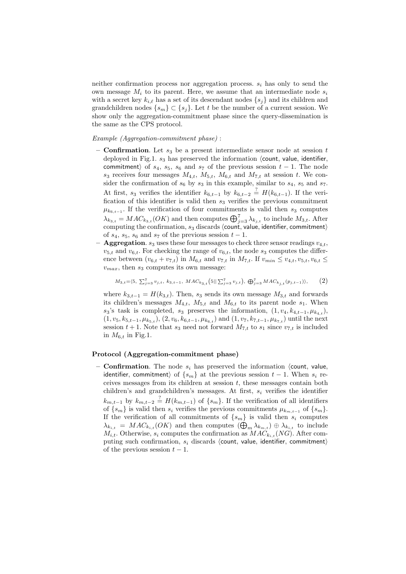neither confirmation process nor aggregation process. *s<sup>i</sup>* has only to send the own message  $M_i$  to its parent. Here, we assume that an intermediate node  $s_i$ with a secret key  $k_{i,\ell}$  has a set of its descendant nodes  $\{s_j\}$  and its children and grandchildren nodes  $\{s_m\} \subset \{s_j\}$ . Let *t* be the number of a current session. We show only the aggregation-commitment phase since the query-dissemination is the same as the CPS protocol.

#### *Example (Aggregation-commitment phase)* :

- **Confirmation**. Let *s*<sup>3</sup> be a present intermediate sensor node at session *t* deployed in Fig.1. *s*<sup>3</sup> has preserved the information *⟨*count, value, identifier, commitment $\rangle$  of *s*<sub>4</sub>, *s*<sub>5</sub>, *s*<sub>6</sub> and *s*<sub>7</sub> of the previous session  $t - 1$ . The node  $s_3$  receives four messages  $M_{4,t}$ ,  $M_{5,t}$ ,  $M_{6,t}$  and  $M_{7,t}$  at session *t*. We consider the confirmation of  $s_6$  by  $s_3$  in this example, similar to  $s_4$ ,  $s_5$  and  $s_7$ . At first,  $s_3$  verifies the identifier  $k_{6,t-1}$  by  $k_{6,t-2} \stackrel{?}{=} H(k_{6,t-1})$ . If the verification of this identifier is valid then *s*<sup>3</sup> verifies the previous commitment  $\mu_{k_{6,t-1}}$ . If the verification of four commitments is valid then *s*<sub>3</sub> computes  $\lambda_{k_{3,t}} = MAC_{k_{3,t}}(OK)$  and then computes  $\bigoplus_{j=3}^{7} \lambda_{k_{j,t}}$  to include  $M_{3,t}$ . After computing the confirmation,  $s_3$  discards  $\langle$  count, value, identifier, commitment $\rangle$ of  $s_4$ ,  $s_5$ ,  $s_6$  and  $s_7$  of the previous session  $t-1$ .
- $-$  **Aggregation**.  $s_3$  uses these four messages to check three sensor readings  $v_{4,t}$ ,  $v_{5,t}$  and  $v_{6,t}$ . For checking the range of  $v_{6,t}$ , the node  $s_3$  computes the difference between  $(v_{6,t} + v_{7,t})$  in  $M_{6,t}$  and  $v_{7,t}$  in  $M_{7,t}$ . If  $v_{min} \le v_{4,t}, v_{5,t}, v_{6,t} \le v_{7,t}$  $v_{max}$ , then  $s_3$  computes its own message:

$$
M_{3,t} = \langle 5, \sum_{j=3}^{7} v_{j,t}, k_{3,t-1}, MAC_{k_{3,t}}(5||\sum_{j=3}^{7} v_{j,t}), \bigoplus_{j=3}^{7} MAC_{k_{j,t}}(p_{j,t-1})\rangle, (2)
$$

where  $k_{3,t-1} = H(k_{3,t})$ . Then,  $s_3$  sends its own message  $M_{3,t}$  and forwards its children's messages  $M_{4,t}$ ,  $M_{5,t}$  and  $M_{6,t}$  to its parent node  $s_1$ . When  $s_3$ 's task is completed,  $s_3$  preserves the information,  $(1, v_4, k_{4,t-1}, \mu_{k_4,t})$ ,  $(1, v_5, k_{5,t-1}, \mu_{k_5,t}), (2, v_6, k_{6,t-1}, \mu_{k_6,t})$  and  $(1, v_7, k_{7,t-1}, \mu_{k_7,t})$  until the next session  $t + 1$ . Note that  $s_3$  need not forward  $M_{7,t}$  to  $s_1$  since  $v_{7,t}$  is included in  $M_{6,t}$  in Fig.1.

#### **Protocol (Aggregation-commitment phase)**

**– Confirmation**. The node *s<sup>i</sup>* has preserved the information *⟨*count, value, identifier, commitment $\langle$  of  $\{s_m\}$  at the previous session  $t-1$ . When  $s_i$  receives messages from its children at session *t*, these messages contain both children's and grandchildren's messages. At first, *s<sup>i</sup>* verifies the identifier *k*<sub>*m,t*−1</sub></sub> by  $k_{m,t-2}$ <sup>2</sup> *H*( $k_{m,t-1}$ ) of  $\{s_m\}$ . If the verification of all identifiers of  $\{s_m\}$  is valid then  $s_i$  verifies the previous commitments  $\mu_{k_{m,t-1}}$  of  $\{s_m\}$ . If the verification of all commitments of  $\{s_m\}$  is valid then  $s_i$  computes  $\lambda_{k_{i,t}} = MAC_{k_{i,t}}(OK)$  and then computes  $(\bigoplus_m \lambda_{k_{m,t}}) \oplus \lambda_{k_{i,t}}$  to include  $M_{i,t}$ . Otherwise,  $s_i$  computes the confirmation as  $MAC_{k_{i,t}}(NG)$ . After computing such confirmation, *s<sup>i</sup>* discards *⟨*count, value, identifier, commitment*⟩* of the previous session  $t-1$ .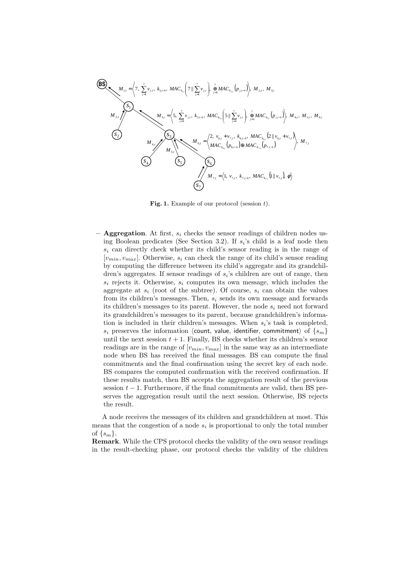

**Fig. 1.** Example of our protocol (session *t*).

**– Aggregation**. At first, *s<sup>i</sup>* checks the sensor readings of children nodes using Boolean predicates (See Section 3.2). If *s<sup>i</sup>* 's child is a leaf node then  $s_i$  can directly check whether its child's sensor reading is in the range of  $[v_{min}, v_{max}]$ . Otherwise,  $s_i$  can check the range of its child's sensor reading by computing the difference between its child's aggregate and its grandchildren's aggregates. If sensor readings of  $s_i$ 's children are out of range, then  $s_i$  rejects it. Otherwise,  $s_i$  computes its own message, which includes the aggregate at  $s_i$  (root of the subtree). Of course,  $s_i$  can obtain the values from its children's messages. Then,  $s_i$  sends its own message and forwards its children's messages to its parent. However, the node *s<sup>i</sup>* need not forward its grandchildren's messages to its parent, because grandchildren's information is included in their children's messages. When  $s_i$ 's task is completed,  $s_i$  preserves the information  $\langle$  count, value, identifier, commitment $\langle$  of  $\{s_m\}$ until the next session  $t + 1$ . Finally, BS checks whether its children's sensor readings are in the range of  $[v_{min}, v_{max}]$  in the same way as an intermediate node when BS has received the final messages. BS can compute the final commitments and the final confirmation using the secret key of each node. BS compares the computed confirmation with the received confirmation. If these results match, then BS accepts the aggregation result of the previous session  $t - 1$ . Furthermore, if the final commitments are valid, then BS preserves the aggregation result until the next session. Otherwise, BS rejects the result.

A node receives the messages of its children and grandchildren at most. This means that the congestion of a node  $s_i$  is proportional to only the total number of  $\{s_m\}$ .

**Remark**. While the CPS protocol checks the validity of the own sensor readings in the result-checking phase, our protocol checks the validity of the children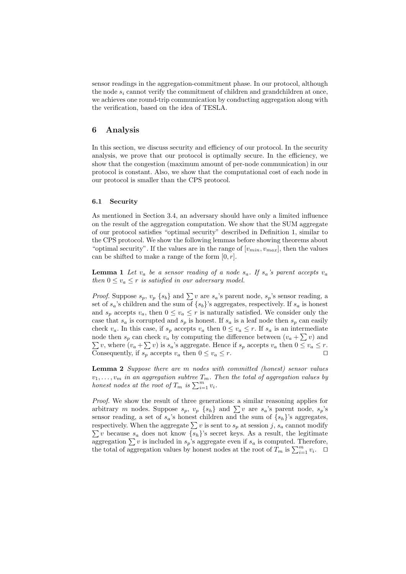sensor readings in the aggregation-commitment phase. In our protocol, although the node  $s_i$  cannot verify the commitment of children and grandchildren at once, we achieves one round-trip communication by conducting aggregation along with the verification, based on the idea of TESLA.

# **6 Analysis**

In this section, we discuss security and efficiency of our protocol. In the security analysis, we prove that our protocol is optimally secure. In the efficiency, we show that the congestion (maximum amount of per-node communication) in our protocol is constant. Also, we show that the computational cost of each node in our protocol is smaller than the CPS protocol.

#### **6.1 Security**

As mentioned in Section 3.4, an adversary should have only a limited influence on the result of the aggregation computation. We show that the SUM aggregate of our protocol satisfies "optimal security" described in Definition 1, similar to the CPS protocol. We show the following lemmas before showing theorems about "optimal security". If the values are in the range of  $[v_{min}, v_{max}]$ , then the values can be shifted to make a range of the form  $[0, r]$ .

**Lemma 1** Let  $v_a$  be a sensor reading of a node  $s_a$ . If  $s_a$ 's parent accepts  $v_a$ *then*  $0 \le v_a \le r$  *is satisfied in our adversary model.* 

*Proof.* Suppose  $s_p$ ,  $v_p$   $\{s_b\}$  and  $\sum v$  are  $s_a$ 's parent node,  $s_p$ 's sensor reading, a set of  $s_a$ 's children and the sum of  $\{s_b\}$ 's aggregates, respectively. If  $s_a$  is honest and  $s_p$  accepts  $v_a$ , then  $0 \le v_a \le r$  is naturally satisfied. We consider only the case that  $s_a$  is corrupted and  $s_p$  is honest. If  $s_a$  is a leaf node then  $s_p$  can easily check  $v_a$ . In this case, if  $s_p$  accepts  $v_a$  then  $0 \le v_a \le r$ . If  $s_a$  is an intermediate node then  $s_p$  can check  $v_a$  by computing the difference between  $(v_a + \sum v)$  and  $\sum v$ , where  $(v_a + \sum v)$  is  $s_a$ 's aggregate. Hence if  $s_p$  accepts  $v_a$  then  $0 \le v_a \le r$ . Consequently, if  $s_p$  accepts  $v_a$  then  $0 \le v_a \le r$ .  $\Box$ 

**Lemma 2** *Suppose there are m nodes with committed (honest) sensor values*  $v_1, \ldots, v_m$  *in an aggregation subtree*  $T_m$ *. Then the total of aggregation values by honest nodes at the root of*  $T_m$  *is*  $\sum_{i=1}^m v_i$ *.* 

*Proof.* We show the result of three generations: a similar reasoning applies for arbitrary *m* nodes. Suppose  $s_p$ ,  $v_p$   $\{s_h\}$  and  $\sum v$  are  $s_a$ 's parent node,  $s_p$ 's sensor reading, a set of  $s_a$ 's honest children and the sum of  $\{s_h\}$ 's aggregates, respectively. When the aggregate  $\sum v$  is sent to  $s_p$  at session *j*,  $s_a$  cannot modify  $\sum v$  because  $s_a$  does not know  $\{s_h\}$ 's secret keys. As a result, the legitimate aggregation  $\sum v$  is included in  $s_p$ 's aggregate even if  $s_a$  is computed. Therefore, the total of aggregation values by honest nodes at the root of  $T_m$  is  $\sum_{i=1}^m v_i$ .  $\Box$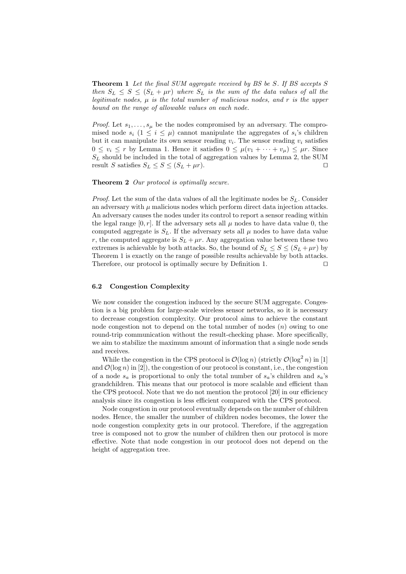**Theorem 1** *Let the final SUM aggregate received by BS be S. If BS accepts S then*  $S_L \leq S \leq (S_L + \mu r)$  *where*  $S_L$  *is the sum of the data values of all the legitimate nodes, µ is the total number of malicious nodes, and r is the upper bound on the range of allowable values on each node.*

*Proof.* Let  $s_1, \ldots, s_\mu$  be the nodes compromised by an adversary. The compromised node  $s_i$  ( $1 \leq i \leq \mu$ ) cannot manipulate the aggregates of  $s_i$ 's children but it can manipulate its own sensor reading  $v_i$ . The sensor reading  $v_i$  satisfies  $0 \le v_i \le r$  by Lemma 1. Hence it satisfies  $0 \le \mu(v_1 + \cdots + v_\mu) \le \mu r$ . Since *S<sup>L</sup>* should be included in the total of aggregation values by Lemma 2, the SUM result *S* satisfies *S<sup>L</sup> ≤ S ≤* (*S<sup>L</sup>* + *µr*). *⊓⊔*

**Theorem 2** *Our protocol is optimally secure.*

*Proof.* Let the sum of the data values of all the legitimate nodes be  $S_L$ . Consider an adversary with  $\mu$  malicious nodes which perform direct data injection attacks. An adversary causes the nodes under its control to report a sensor reading within the legal range  $[0, r]$ . If the adversary sets all  $\mu$  nodes to have data value 0, the computed aggregate is  $S_L$ . If the adversary sets all  $\mu$  nodes to have data value *r*, the computed aggregate is  $S_L + \mu r$ . Any aggregation value between these two extremes is achievable by both attacks. So, the bound of  $S_L \leq S \leq (S_L + \mu r)$  by Theorem 1 is exactly on the range of possible results achievable by both attacks. Therefore, our protocol is optimally secure by Definition 1. *⊓⊔*

#### **6.2 Congestion Complexity**

We now consider the congestion induced by the secure SUM aggregate. Congestion is a big problem for large-scale wireless sensor networks, so it is necessary to decrease congestion complexity. Our protocol aims to achieve the constant node congestion not to depend on the total number of nodes (*n*) owing to one round-trip communication without the result-checking phase. More specifically, we aim to stabilize the maximum amount of information that a single node sends and receives.

While the congestion in the CPS protocol is  $\mathcal{O}(\log n)$  (strictly  $\mathcal{O}(\log^2 n)$  in [1] and  $\mathcal{O}(\log n)$  in [2]), the congestion of our protocol is constant, i.e., the congestion of a node  $s_a$  is proportional to only the total number of  $s_a$ 's children and  $s_a$ 's grandchildren. This means that our protocol is more scalable and efficient than the CPS protocol. Note that we do not mention the protocol [20] in our efficiency analysis since its congestion is less efficient compared with the CPS protocol.

Node congestion in our protocol eventually depends on the number of children nodes. Hence, the smaller the number of children nodes becomes, the lower the node congestion complexity gets in our protocol. Therefore, if the aggregation tree is composed not to grow the number of children then our protocol is more effective. Note that node congestion in our protocol does not depend on the height of aggregation tree.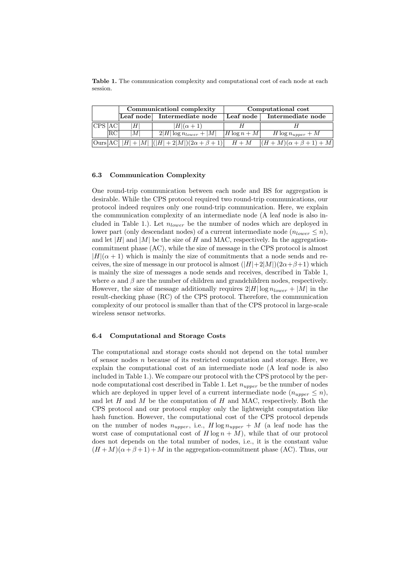|                 |                 | Communication complexity |                                 | Computational cost |                           |
|-----------------|-----------------|--------------------------|---------------------------------|--------------------|---------------------------|
|                 |                 | Leaf node                | Intermediate node               | Leaf node          | Intermediate node         |
| CPS   AC        |                 | H'                       | $ H (\alpha+1)$                 |                    |                           |
|                 | $\overline{RC}$ | M                        | $2 H \log n_{lower}+ M $        | $ H \log n + M $   | $H \log n_{upper} + M$    |
| $\rm  Ours AC $ |                 | $ H + M $                | $ ( H +2 M )(2\alpha+\beta+1) $ | $H+M$              | $(H+M)(\alpha+\beta+1)+M$ |

**Table 1.** The communication complexity and computational cost of each node at each session.

#### **6.3 Communication Complexity**

One round-trip communication between each node and BS for aggregation is desirable. While the CPS protocol required two round-trip communications, our protocol indeed requires only one round-trip communication. Here, we explain the communication complexity of an intermediate node (A leaf node is also included in Table 1.). Let *nlower* be the number of nodes which are deployed in lower part (only descendant nodes) of a current intermediate node  $(n_{lower} \leq n)$ , and let  $|H|$  and  $|M|$  be the size of *H* and MAC, respectively. In the aggregationcommitment phase (AC), while the size of message in the CPS protocol is almost  $|H|(\alpha+1)$  which is mainly the size of commitments that a node sends and receives, the size of message in our protocol is almost  $(|H|+2|M|)(2\alpha+\beta+1)$  which is mainly the size of messages a node sends and receives, described in Table 1, where  $\alpha$  and  $\beta$  are the number of children and grandchildren nodes, respectively. However, the size of message additionally requires  $2|H|\log n_{lower} + |M|$  in the result-checking phase (RC) of the CPS protocol. Therefore, the communication complexity of our protocol is smaller than that of the CPS protocol in large-scale wireless sensor networks.

#### **6.4 Computational and Storage Costs**

The computational and storage costs should not depend on the total number of sensor nodes *n* because of its restricted computation and storage. Here, we explain the computational cost of an intermediate node (A leaf node is also included in Table 1.). We compare our protocol with the CPS protocol by the pernode computational cost described in Table 1. Let *nupper* be the number of nodes which are deployed in upper level of a current intermediate node  $(n_{upper} \leq n)$ , and let *H* and *M* be the computation of *H* and MAC, respectively. Both the CPS protocol and our protocol employ only the lightweight computation like hash function. However, the computational cost of the CPS protocol depends on the number of nodes  $n_{upper}$ , i.e.,  $H \log n_{upper} + M$  (a leaf node has the worst case of computational cost of  $H \log n + M$ , while that of our protocol does not depends on the total number of nodes, i.e., it is the constant value  $(H+M)(\alpha+\beta+1)+M$  in the aggregation-commitment phase (AC). Thus, our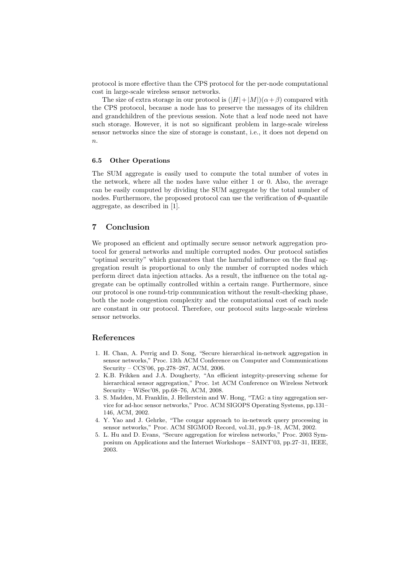protocol is more effective than the CPS protocol for the per-node computational cost in large-scale wireless sensor networks.

The size of extra storage in our protocol is  $(|H|+|M|)(\alpha+\beta)$  compared with the CPS protocol, because a node has to preserve the messages of its children and grandchildren of the previous session. Note that a leaf node need not have such storage. However, it is not so significant problem in large-scale wireless sensor networks since the size of storage is constant, i.e., it does not depend on *n*.

#### **6.5 Other Operations**

The SUM aggregate is easily used to compute the total number of votes in the network, where all the nodes have value either 1 or 0. Also, the average can be easily computed by dividing the SUM aggregate by the total number of nodes. Furthermore, the proposed protocol can use the verification of *Φ*-quantile aggregate, as described in [1].

# **7 Conclusion**

We proposed an efficient and optimally secure sensor network aggregation protocol for general networks and multiple corrupted nodes. Our protocol satisfies "optimal security" which guarantees that the harmful influence on the final aggregation result is proportional to only the number of corrupted nodes which perform direct data injection attacks. As a result, the influence on the total aggregate can be optimally controlled within a certain range. Furthermore, since our protocol is one round-trip communication without the result-checking phase, both the node congestion complexity and the computational cost of each node are constant in our protocol. Therefore, our protocol suits large-scale wireless sensor networks.

#### **References**

- 1. H. Chan, A. Perrig and D. Song, "Secure hierarchical in-network aggregation in sensor networks," Proc. 13th ACM Conference on Computer and Communications Security – CCS'06, pp.278–287, ACM, 2006.
- 2. K.B. Frikken and J.A. Dougherty, "An efficient integrity-preserving scheme for hierarchical sensor aggregation," Proc. 1st ACM Conference on Wireless Network Security – WiSec'08, pp.68–76, ACM, 2008.
- 3. S. Madden, M. Franklin, J. Hellerstein and W. Hong, "TAG: a tiny aggregation service for ad-hoc sensor networks," Proc. ACM SIGOPS Operating Systems, pp.131– 146, ACM, 2002.
- 4. Y. Yao and J. Gehrke, "The cougar approach to in-network query processing in sensor networks," Proc. ACM SIGMOD Record, vol.31, pp.9–18, ACM, 2002.
- 5. L. Hu and D. Evans, "Secure aggregation for wireless networks," Proc. 2003 Symposium on Applications and the Internet Workshops – SAINT'03, pp.27–31, IEEE, 2003.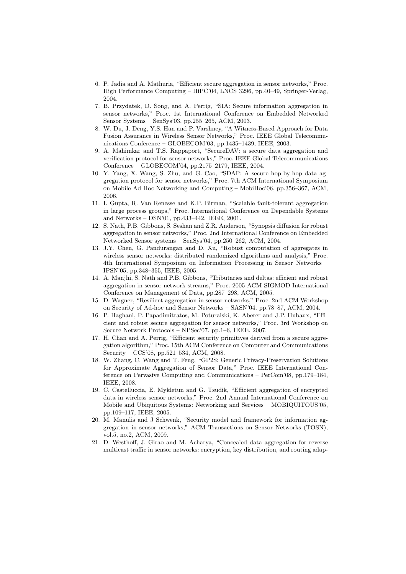- 6. P. Jadia and A. Mathuria, "Efficient secure aggregation in sensor networks," Proc. High Performance Computing – HiPC'04, LNCS 3296, pp.40–49, Springer-Verlag, 2004.
- 7. B. Przydatek, D. Song, and A. Perrig, "SIA: Secure information aggregation in sensor networks," Proc. 1st International Conference on Embedded Networked Sensor Systems – SenSys'03, pp.255–265, ACM, 2003.
- 8. W. Du, J. Deng, Y.S. Han and P. Varshney, "A Witness-Based Approach for Data Fusion Assurance in Wireless Sensor Networks," Proc. IEEE Global Telecommunications Conference – GLOBECOM'03, pp.1435–1439, IEEE, 2003.
- 9. A. Mahimkar and T.S. Rappaport, "SecureDAV: a secure data aggregation and verification protocol for sensor networks," Proc. IEEE Global Telecommunications Conference – GLOBECOM'04, pp.2175–2179, IEEE, 2004.
- 10. Y. Yang, X. Wang, S. Zhu, and G. Cao, "SDAP: A secure hop-by-hop data aggregation protocol for sensor networks," Proc. 7th ACM International Symposium on Mobile Ad Hoc Networking and Computing – MobiHoc'06, pp.356–367, ACM, 2006.
- 11. I. Gupta, R. Van Renesse and K.P. Birman, "Scalable fault-tolerant aggregation in large process groups," Proc. International Conference on Dependable Systems and Networks – DSN'01, pp.433–442, IEEE, 2001.
- 12. S. Nath, P.B. Gibbons, S. Seshan and Z.R. Anderson, "Synopsis diffusion for robust aggregation in sensor networks," Proc. 2nd International Conference on Embedded Networked Sensor systems – SenSys'04, pp.250–262, ACM, 2004.
- 13. J.Y. Chen, G. Pandurangan and D. Xu, "Robust computation of aggregates in wireless sensor networks: distributed randomized algorithms and analysis," Proc. 4th International Symposium on Information Processing in Sensor Networks – IPSN'05, pp.348–355, IEEE, 2005.
- 14. A. Manjhi, S. Nath and P.B. Gibbons, "Tributaries and deltas: efficient and robust aggregation in sensor network streams," Proc. 2005 ACM SIGMOD International Conference on Management of Data, pp.287–298, ACM, 2005.
- 15. D. Wagner, "Resilient aggregation in sensor networks," Proc. 2nd ACM Workshop on Security of Ad-hoc and Sensor Networks – SASN'04, pp.78–87, ACM, 2004.
- 16. P. Haghani, P. Papadimitratos, M. Poturalski, K. Aberer and J.P. Hubaux, "Efficient and robust secure aggregation for sensor networks," Proc. 3rd Workshop on Secure Network Protocols – NPSec'07, pp.1–6, IEEE, 2007.
- 17. H. Chan and A. Perrig, "Efficient security primitives derived from a secure aggregation algorithm," Proc. 15th ACM Conference on Computer and Communications Security – CCS'08, pp.521–534, ACM, 2008.
- 18. W. Zhang, C. Wang and T. Feng, "GP2S: Generic Privacy-Preservation Solutions for Approximate Aggregation of Sensor Data," Proc. IEEE International Conference on Pervasive Computing and Communications – PerCom'08, pp.179–184, IEEE, 2008.
- 19. C. Castelluccia, E. Mykletun and G. Tsudik, "Efficient aggregation of encrypted data in wireless sensor networks," Proc. 2nd Annual International Conference on Mobile and Ubiquitous Systems: Networking and Services – MOBIQUITOUS'05, pp.109–117, IEEE, 2005.
- 20. M. Manulis and J Schwenk, "Security model and framework for information aggregation in sensor networks," ACM Transactions on Sensor Networks (TOSN), vol.5, no.2, ACM, 2009.
- 21. D. Westhoff, J. Girao and M. Acharya, "Concealed data aggregation for reverse multicast traffic in sensor networks: encryption, key distribution, and routing adap-